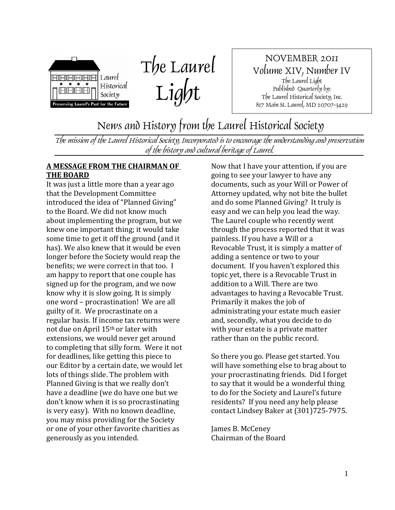

The Laurel Light

NOVEMBER 2011 Volume XIV, Number IV The Laurel Light Published Quarterly by: The Laurel Historical Society, Inc. 817 Main St. Laurel, MD 20707-3429

News and History from the Laurel Historical Society

The mission of the Laurel Historical Society, Incorporated is to encourage the understanding and preservation of the history and cultural heritage of Laurel.

#### **A MESSAGE FROM THE CHAIRMAN OF THE BOARD**

It was just a little more than a year ago that the Development Committee introduced the idea of "Planned Giving" to the Board. We did not know much about implementing the program, but we knew one important thing; it would take some time to get it off the ground (and it has). We also knew that it would be even longer before the Society would reap the benefits; we were correct in that too. I am happy to report that one couple has signed up for the program, and we now know why it is slow going. It is simply one word – procrastination! We are all guilty of it. We procrastinate on a regular basis. If income tax returns were not due on April 15th or later with extensions, we would never get around to completing that silly form. Were it not for deadlines, like getting this piece to our Editor by a certain date, we would let lots of things slide. The problem with Planned Giving is that we really don't have a deadline (we do have one but we don't know when it is so procrastinating is very easy). With no known deadline, you may miss providing for the Society or one of your other favorite charities as generously as you intended.

Now that I have your attention, if you are going to see your lawyer to have any documents, such as your Will or Power of Attorney updated, why not bite the bullet and do some Planned Giving? It truly is easy and we can help you lead the way. The Laurel couple who recently went through the process reported that it was painless. If you have a Will or a Revocable Trust, it is simply a matter of adding a sentence or two to your document. If you haven't explored this topic yet, there is a Revocable Trust in addition to a Will. There are two advantages to having a Revocable Trust. Primarily it makes the job of administrating your estate much easier and, secondly, what you decide to do with your estate is a private matter rather than on the public record.

So there you go. Please get started. You will have something else to brag about to your procrastinating friends. Did I forget to say that it would be a wonderful thing to do for the Society and Laurel's future residents? If you need any help please contact Lindsey Baker at (301)725-7975.

James B. McCeney Chairman of the Board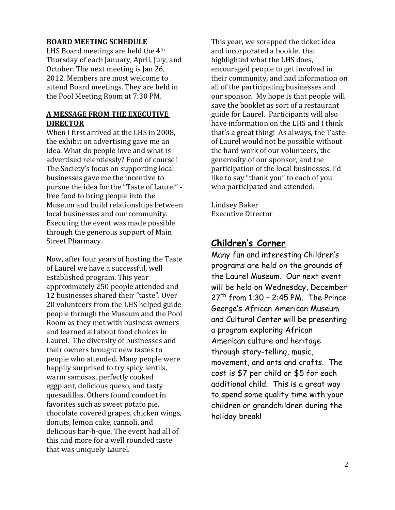#### **BOARD MEETING SCHEDULE**

LHS Board meetings are held the 4th Thursday of each January, April, July, and October. The next meeting is Jan 26, 2012. Members are most welcome to attend Board meetings. They are held in the Pool Meeting Room at 7:30 PM.

#### **A MESSAGE FROM THE EXECUTIVE DIRECTOR**

When I first arrived at the LHS in 2008, the exhibit on advertising gave me an idea. What do people love and what is advertised relentlessly? Food of course! The Society's focus on supporting local businesses gave me the incentive to pursue the idea for the "Taste of Laurel" free food to bring people into the Museum and build relationships between local businesses and our community. Executing the event was made possible through the generous support of Main Street Pharmacy.

Now, after four years of hosting the Taste of Laurel we have a successful, well established program. This year approximately 250 people attended and 12 businesses shared their "taste". Over 20 volunteers from the LHS helped guide people through the Museum and the Pool Room as they met with business owners and learned all about food choices in Laurel. The diversity of businesses and their owners brought new tastes to people who attended. Many people were happily surprised to try spicy lentils, warm samosas, perfectly cooked eggplant, delicious queso, and tasty quesadillas. Others found comfort in favorites such as sweet potato pie, chocolate covered grapes, chicken wings, donuts, lemon cake, cannoli, and delicious bar-b-que. The event had all of this and more for a well rounded taste that was uniquely Laurel.

This year, we scrapped the ticket idea and incorporated a booklet that highlighted what the LHS does, encouraged people to get involved in their community, and had information on all of the participating businesses and our sponsor. My hope is that people will save the booklet as sort of a restaurant guide for Laurel. Participants will also have information on the LHS and I think that's a great thing! As always, the Taste of Laurel would not be possible without the hard work of our volunteers, the generosity of our sponsor, and the participation of the local businesses. I'd like to say "thank you" to each of you who participated and attended.

Lindsey Baker Executive Director

#### **Children's Corner**

Many fun and interesting Children's programs are held on the grounds of the Laurel Museum. Our next event will be held on Wednesday, December  $27<sup>th</sup>$  from 1:30 - 2:45 PM. The Prince George's African American Museum and Cultural Center will be presenting a program exploring African American culture and heritage through story-telling, music, movement, and arts and crafts. The cost is \$7 per child or \$5 for each additional child. This is a great way to spend some quality time with your children or grandchildren during the holiday break!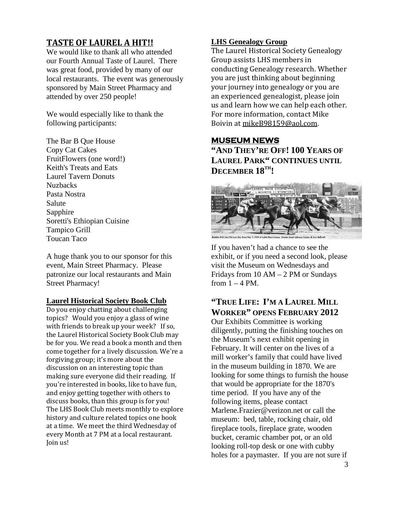#### **TASTE OF LAUREL A HIT!!**

We would like to thank all who attended our Fourth Annual Taste of Laurel. There was great food, provided by many of our local restaurants. The event was generously sponsored by Main Street Pharmacy and attended by over 250 people!

We would especially like to thank the following participants:

The Bar B Que House Copy Cat Cakes FruitFlowers (one word!) Keith's Treats and Eats Laurel Tavern Donuts Nuzbacks Pasta Nostra Salute Sapphire Soretti's Ethiopian Cuisine Tampico Grill Toucan Taco

A huge thank you to our sponsor for this event, Main Street Pharmacy. Please patronize our local restaurants and Main Street Pharmacy!

#### **Laurel Historical Society Book Club**

Do you enjoy chatting about challenging topics? Would you enjoy a glass of wine with friends to break up your week? If so, the Laurel Historical Society Book Club may be for you. We read a book a month and then come together for a lively discussion. We're a forgiving group; it's more about the discussion on an interesting topic than making sure everyone did their reading. If you're interested in books, like to have fun, and enjoy getting together with others to discuss books, than this group is for you! The LHS Book Club meets monthly to explore history and culture related topics one book at a time. We meet the third Wednesday of every Month at 7 PM at a local restaurant. Join us!

#### **LHS Genealogy Group**

The Laurel Historical Society Genealogy Group assists LHS members in conducting Genealogy research. Whether you are just thinking about beginning your journey into genealogy or you are an experienced genealogist, please join us and learn how we can help each other. For more information, contact Mike Boivin at <u>mikeB98159@aol.com</u>.

#### **MUSEUM NEWS**

**"AND THEY'RE OFF! 100 YEARS OF LAUREL PARK" CONTINUES UNTIL DECEMBER 18TH!**



If you haven't had a chance to see the exhibit, or if you need a second look, please visit the Museum on Wednesdays and Fridays from 10 AM – 2 PM or Sundays from  $1 - 4$  PM.

#### **"TRUE LIFE: I'M A LAUREL MILL WORKER" OPENS FEBRUARY 2012**

Our Exhibits Committee is working diligently, putting the finishing touches on the Museum's next exhibit opening in February. It will center on the lives of a mill worker's family that could have lived in the museum building in 1870. We are looking for some things to furnish the house that would be appropriate for the 1870's time period. If you have any of the following items, please contact Marlene.Frazier@verizon.net or call the museum: bed, table, rocking chair, old fireplace tools, fireplace grate, wooden bucket, ceramic chamber pot, or an old looking roll-top desk or one with cubby holes for a paymaster. If you are not sure if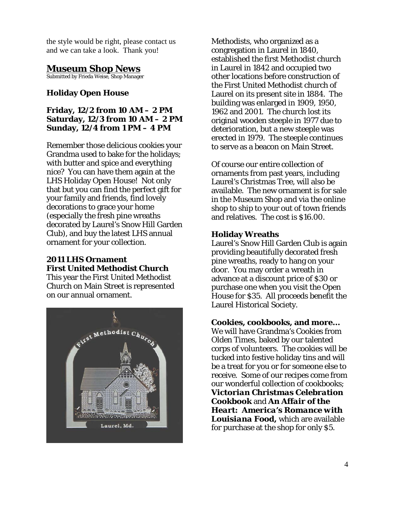the style would be right, please contact us and we can take a look. Thank you!

#### **Museum Shop News**

Submitted by Frieda Weise, Shop Manager

#### **Holiday Open House**

#### **Friday, 12/2 from 10 AM – 2 PM Saturday, 12/3 from 10 AM – 2 PM Sunday, 12/4 from 1 PM – 4 PM**

Remember those delicious cookies your Grandma used to bake for the holidays; with butter and spice and everything nice? You can have them again at the LHS Holiday Open House! Not only that but you can find the perfect gift for your family and friends, find lovely decorations to grace your home (especially the fresh pine wreaths decorated by Laurel's Snow Hill Garden Club), and buy the latest LHS annual ornament for your collection.

#### **2011 LHS Ornament First United Methodist Church**

This year the First United Methodist Church on Main Street is represented on our annual ornament.



Methodists, who organized as a congregation in Laurel in 1840, established the first Methodist church in Laurel in 1842 and occupied two other locations before construction of the First United Methodist church of Laurel on its present site in 1884. The building was enlarged in 1909, 1950, 1962 and 2001. The church lost its original wooden steeple in 1977 due to deterioration, but a new steeple was erected in 1979. The steeple continues to serve as a beacon on Main Street.

Of course our entire collection of ornaments from past years, including Laurel's Christmas Tree, will also be available. The new ornament is for sale in the Museum Shop and via the online shop to ship to your out of town friends and relatives. The cost is \$16.00.

#### **Holiday Wreaths**

Laurel's Snow Hill Garden Club is again providing beautifully decorated fresh pine wreaths, ready to hang on your door. You may order a wreath in advance at a discount price of \$30 or purchase one when you visit the Open House for \$35. All proceeds benefit the Laurel Historical Society.

#### **Cookies, cookbooks, and more…**

We will have Grandma's Cookies from Olden Times, baked by our talented corps of volunteers. The cookies will be tucked into festive holiday tins and will be a treat for you or for someone else to receive. Some of our recipes come from our wonderful collection of cookbooks; *Victorian Christmas Celebration Cookbook* and *An Affair of the Heart: America's Romance with Louisiana Food,* which are available for purchase at the shop for only \$5.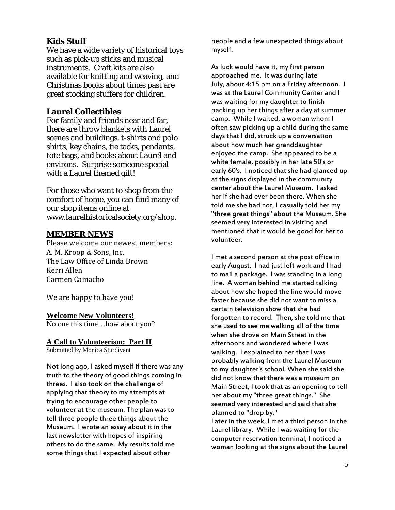#### **Kids Stuff**

We have a wide variety of historical toys such as pick-up sticks and musical instruments. Craft kits are also available for knitting and weaving, and Christmas books about times past are great stocking stuffers for children.

#### **Laurel Collectibles**

For family and friends near and far, there are throw blankets with Laurel scenes and buildings, t-shirts and polo shirts, key chains, tie tacks, pendants, tote bags, and books about Laurel and environs. Surprise someone special with a Laurel themed gift!

For those who want to shop from the comfort of home, you can find many of our shop items online at www.laurelhistoricalsociety.org/shop.

#### **MEMBER NEWS**

Please welcome our newest members: A. M. Kroop & Sons, Inc. The Law Office of Linda Brown Kerri Allen Carmen Camacho

We are happy to have you!

#### **Welcome New Volunteers!**

No one this time…how about you?

#### **A Call to Volunteerism: Part II**

Submitted by Monica Sturdivant

Not long ago, I asked myself if there was any truth to the theory of good things coming in threes. I also took on the challenge of applying that theory to my attempts at trying to encourage other people to volunteer at the museum. The plan was to tell three people three things about the Museum. I wrote an essay about it in the last newsletter with hopes of inspiring others to do the same. My results told me some things that I expected about other

people and a few unexpected things about myself.

As luck would have it, my first person approached me. It was during late July, about 4:15 pm on a Friday afternoon. I was at the Laurel Community Center and I was waiting for my daughter to finish packing up her things after a day at summer camp. While I waited, a woman whom I often saw picking up a child during the same days that I did, struck up a conversation about how much her granddaughter enjoyed the camp. She appeared to be a white female, possibly in her late 50's or early 60's. I noticed that she had glanced up at the signs displayed in the community center about the Laurel Museum. I asked her if she had ever been there. When she told me she had not, I casually told her my "three great things" about the Museum. She seemed very interested in visiting and mentioned that it would be good for her to volunteer.

I met a second person at the post office in early August. I had just left work and I had to mail a package. I was standing in a long line. A woman behind me started talking about how she hoped the line would move faster because she did not want to miss a certain television show that she had forgotten to record. Then, she told me that she used to see me walking all of the time when she drove on Main Street in the afternoons and wondered where I was walking. I explained to her that I was probably walking from the Laurel Museum to my daughter's school. When she said she did not know that there was a museum on Main Street, I took that as an opening to tell her about my "three great things." She seemed very interested and said that she planned to "drop by." Later in the week, I met a third person in the Laurel library. While I was waiting for the computer reservation terminal, I noticed a woman looking at the signs about the Laurel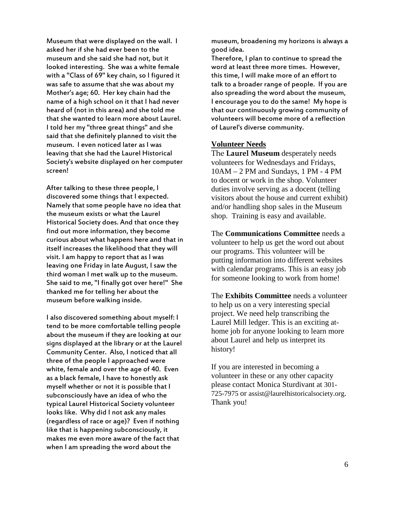Museum that were displayed on the wall. I asked her if she had ever been to the museum and she said she had not, but it looked interesting. She was a white female with a "Class of 69" key chain, so I figured it was safe to assume that she was about my Mother's age; 60. Her key chain had the name of a high school on it that I had never heard of (not in this area) and she told me that she wanted to learn more about Laurel. I told her my "three great things" and she said that she definitely planned to visit the museum. I even noticed later as I was leaving that she had the Laurel Historical Society's website displayed on her computer screen!

After talking to these three people, I discovered some things that I expected. Namely that some people have no idea that the museum exists or what the Laurel Historical Society does. And that once they find out more information, they become curious about what happens here and that in itself increases the likelihood that they will visit. I am happy to report that as I was leaving one Friday in late August, I saw the third woman I met walk up to the museum. She said to me, "I finally got over here!" She thanked me for telling her about the museum before walking inside.

I also discovered something about myself: I tend to be more comfortable telling people about the museum if they are looking at our signs displayed at the library or at the Laurel Community Center. Also, I noticed that all three of the people I approached were white, female and over the age of 40. Even as a black female, I have to honestly ask myself whether or not it is possible that I subconsciously have an idea of who the typical Laurel Historical Society volunteer looks like. Why did I not ask any males (regardless of race or age)? Even if nothing like that is happening subconsciously, it makes me even more aware of the fact that when I am spreading the word about the

museum, broadening my horizons is always a good idea.

Therefore, I plan to continue to spread the word at least three more times. However, this time, I will make more of an effort to talk to a broader range of people. If you are also spreading the word about the museum, I encourage you to do the same! My hope is that our continuously growing community of volunteers will become more of a reflection of Laurel's diverse community.

#### **Volunteer Needs**

The **Laurel Museum** desperately needs volunteers for Wednesdays and Fridays, 10AM – 2 PM and Sundays, 1 PM - 4 PM to docent or work in the shop. Volunteer duties involve serving as a docent (telling visitors about the house and current exhibit) and/or handling shop sales in the Museum shop. Training is easy and available.

The **Communications Committee** needs a volunteer to help us get the word out about our programs. This volunteer will be putting information into different websites with calendar programs. This is an easy job for someone looking to work from home!

The **Exhibits Committee** needs a volunteer to help us on a very interesting special project. We need help transcribing the Laurel Mill ledger. This is an exciting athome job for anyone looking to learn more about Laurel and help us interpret its history!

If you are interested in becoming a volunteer in these or any other capacity please contact Monica Sturdivant at 301- 725-7975 or assist@laurelhistoricalsociety.org. Thank you!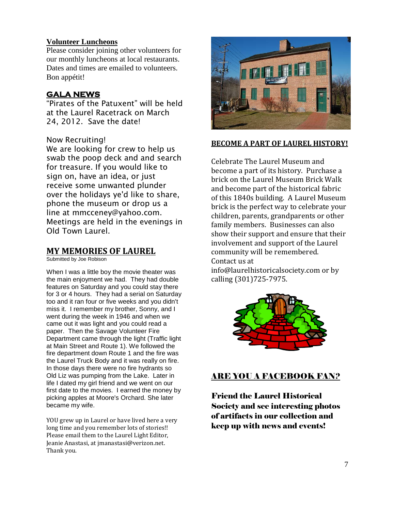#### **Volunteer Luncheons**

Please consider joining other volunteers for our monthly luncheons at local restaurants. Dates and times are emailed to volunteers. Bon appétit!

#### **GALA NEWS**

"Pirates of the Patuxent" will be held at the Laurel Racetrack on March 24, 2012. Save the date!

#### Now Recruiting!

We are looking for crew to help us swab the poop deck and and search for treasure. If you would like to sign on, have an idea, or just receive some unwanted plunder over the holidays ye'd like to share, phone the museum or drop us a line at mmcceney@yahoo.com. Meetings are held in the evenings in Old Town Laurel.

#### **MY MEMORIES OF LAUREL**

Submitted by Joe Robison

When I was a little boy the movie theater was the main enjoyment we had. They had double features on Saturday and you could stay there for 3 or 4 hours. They had a serial on Saturday too and it ran four or five weeks and you didn't miss it. I remember my brother, Sonny, and I went during the week in 1946 and when we came out it was light and you could read a paper. Then the Savage Volunteer Fire Department came through the light (Traffic light at Main Street and Route 1). We followed the fire department down Route 1 and the fire was the Laurel Truck Body and it was really on fire. In those days there were no fire hydrants so Old Liz was pumping from the Lake. Later in life I dated my girl friend and we went on our first date to the movies. I earned the money by picking apples at Moore's Orchard. She later became my wife.

YOU grew up in Laurel or have lived here a very long time and you remember lots of stories!! Please email them to the Laurel Light Editor, Jeanie Anastasi, at jmanastasi@verizon.net. Thank you.



#### **BECOME A PART OF LAUREL HISTORY!**

Celebrate The Laurel Museum and become a part of its history. Purchase a brick on the Laurel Museum Brick Walk and become part of the historical fabric of this 1840s building. A Laurel Museum brick is the perfect way to celebrate your children, parents, grandparents or other family members. Businesses can also show their support and ensure that their involvement and support of the Laurel community will be remembered. Contact us at info@laurelhistoricalsociety.com or by

calling (301)725-7975.



#### ARE YOU A FACEBOOK FAN?

Friend the Laurel Historical Society and see interesting photos of artifacts in our collection and keep up with news and events!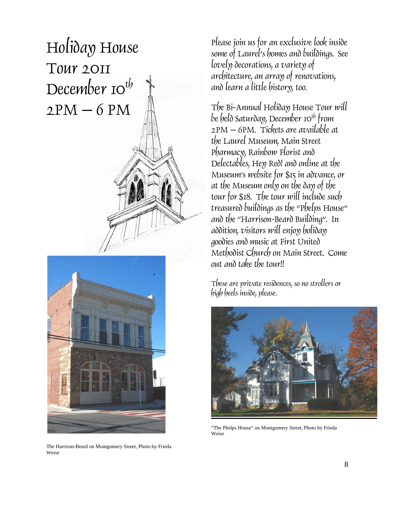# Holiday House Tour 2011 December  $10^{t}$  $2PM - 6 PM$



The Harrison-Beard on Montgomery Street, Photo by Frieda Weise

Please join us for an exclusive look inside some of Laurel's homes and buildings. See lovely decorations, a variety of architecture, an array of renovations, and learn a little history, too.

The Bi-Annual Holiday House Tour will be held Saturday, December 10<sup>th</sup> from 2PM – 6PM. Tickets are available at the Laurel Museum, Main Street Pharmacy, Rainbow Florist and Delectables, Hey Red! and online at the Museum's website for \$15 in advance, or at the Museum only on the day of the tour for \$18. The tour will include such treasured buildings as the "Phelps House" and the "Harrison-Beard Building". In addition, visitors will enjoy holiday goodies and music at First United Methodist Church on Main Street. Come out and take the tour!!

These are private residences, so no strollers or high heels inside, please*.*



"The Phelps House" on Montgomery Street, Photo by Frieda Weise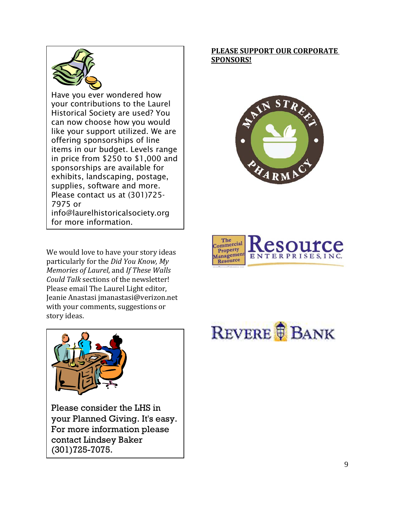

Have you ever wondered how your contributions to the Laurel Historical Society are used? You can now choose how you would like your support utilized. We are offering sponsorships of line items in our budget. Levels range in price from \$250 to \$1,000 and sponsorships are available for exhibits, landscaping, postage, supplies, software and more. Please contact us at (301)725- 7975 or info@laurelhistoricalsociety.org for more information.

We would love to have your story ideas particularly for the *Did You Know, My Memories of Laurel*, and *If These Walls Could Talk* sections of the newsletter! Please email The Laurel Light editor, Jeanie Anastasi jmanastasi@verizon.net with your comments, suggestions or story ideas.









Please consider the LHS in your Planned Giving. It's easy. For more information please contact Lindsey Baker (301)725-7075.

REVERE **B**ANK